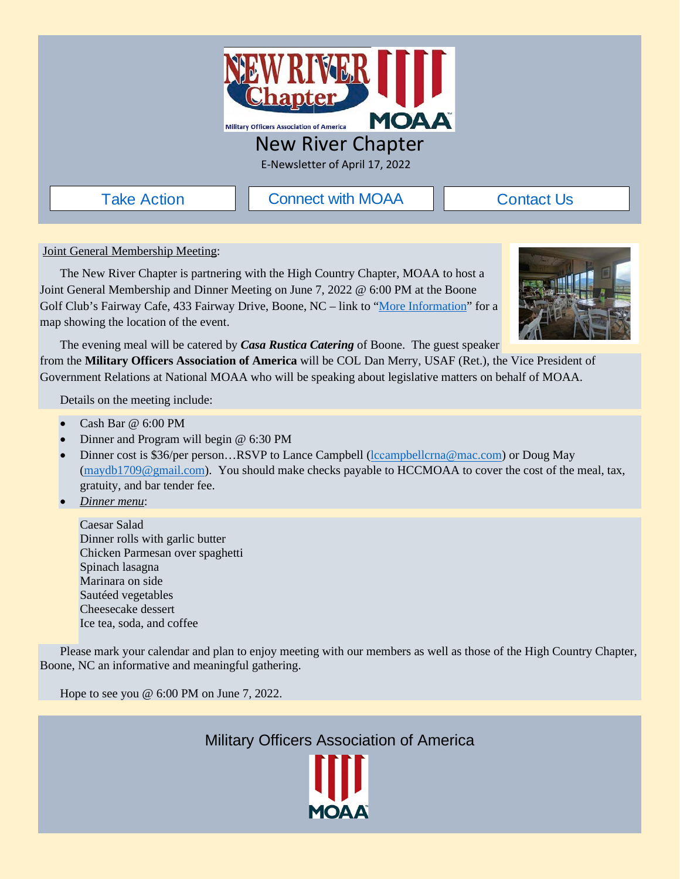

## New River Chapter

E-Newsletter of April 17, 2022

[Take Action](https://moaa.quorum.us/) **II** [Connect with MOAA](https://www.moaa.org/content/about-moaa/contact-moaa/)

[Contact Us](https://www.newrivermoaa.org/contact.php)

<span id="page-0-0"></span>Joint General Membership Meeting:

The New River Chapter is partnering with the High Country Chapter, MOAA to host a Joint General Membership and Dinner Meeting on June 7, 2022 @ 6:00 PM at the Boone Golf Club's Fairway Cafe, 433 Fairway Drive, Boone, NC – link to ["More Information"](#page-1-0) for a map showing the location of the event.



The evening meal will be catered by *Casa Rustica Catering* of Boone. The guest speaker

from the **Military Officers Association of America** will be COL Dan Merry, USAF (Ret.), the Vice President of Government Relations at National MOAA who will be speaking about legislative matters on behalf of MOAA.

Details on the meeting include:

- Cash Bar @ 6:00 PM
- Dinner and Program will begin @ 6:30 PM
- Dinner cost is \$36/per person…RSVP to Lance Campbell [\(l](mailto:lcampbellcrna@mac.com)cc[ampbellcrna@mac.com](mailto:lcampbellcrna@mac.com)) or Doug May [\(maydb1709@gmail.com\)](mailto:maydb1709@gmail.com). You should make checks payable to HCCMOAA to cover the cost of the meal, tax, gratuity, and bar tender fee.
- *Dinner menu*:

Caesar Salad Dinner rolls with garlic butter Chicken Parmesan over spaghetti Spinach lasagna Marinara on side Sautéed vegetables Cheesecake dessert Ice tea, soda, and coffee

Please mark your calendar and plan to enjoy meeting with our members as well as those of the High Country Chapter, Boone, NC an informative and meaningful gathering.

Hope to see you @ 6:00 PM on June 7, 2022.

Military Officers Association of America